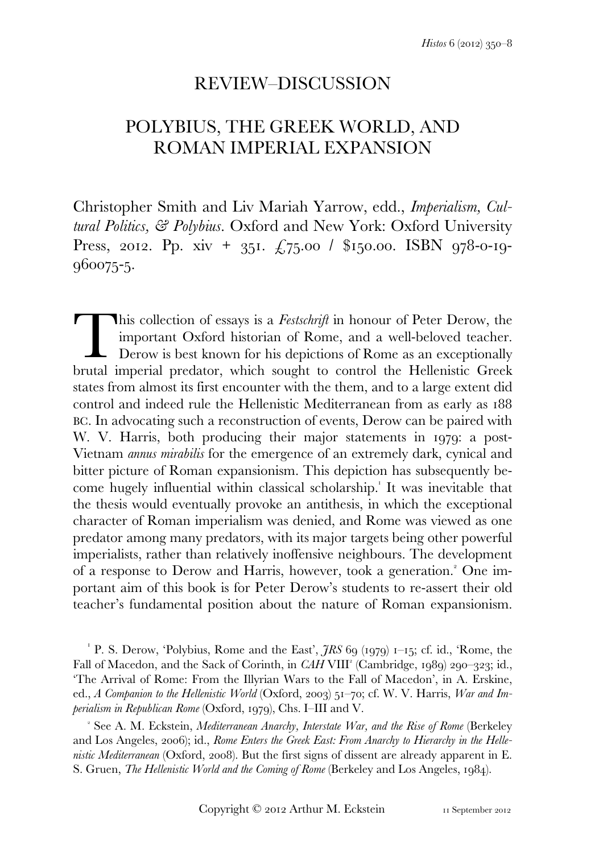# REVIEW–DISCUSSION

# POLYBIUS, THE GREEK WORLD, AND ROMAN IMPERIAL EXPANSION

Christopher Smith and Liv Mariah Yarrow, edd., *Imperialism, Cultural Politics, & Polybius*. Oxford and New York: Oxford University Press, 2012. Pp. xiv + 351.  $\angle 75.00$  / \$150.00. ISBN 978-0-19-960075-5.

his collection of essays is a *Festschrift* in honour of Peter Derow, the important Oxford historian of Rome, and a well-beloved teacher. Derow is best known for his depictions of Rome as an exceptionally This collection of essays is a *Festschrift* in honour of Peter Derow, the important Oxford historian of Rome, and a well-beloved teacher. Derow is best known for his depictions of Rome as an exceptionally brutal imperial states from almost its first encounter with the them, and to a large extent did control and indeed rule the Hellenistic Mediterranean from as early as BC. In advocating such a reconstruction of events, Derow can be paired with W. V. Harris, both producing their major statements in 1979; a post-Vietnam *annus mirabilis* for the emergence of an extremely dark, cynical and bitter picture of Roman expansionism. This depiction has subsequently become hugely influential within classical scholarship. It was inevitable that the thesis would eventually provoke an antithesis, in which the exceptional character of Roman imperialism was denied, and Rome was viewed as one predator among many predators, with its major targets being other powerful imperialists, rather than relatively inoffensive neighbours. The development of a response to Derow and Harris, however, took a generation.<sup>2</sup> One important aim of this book is for Peter Derow's students to re-assert their old teacher's fundamental position about the nature of Roman expansionism.

<sup>1</sup> P. S. Derow, 'Polybius, Rome and the East',  $\tilde{\jmath}RS$  69 (1979) 1–15; cf. id., 'Rome, the Fall of Macedon, and the Sack of Corinth, in *CAH* VIII<sup>2</sup> (Cambridge, 1989) 290-323; id., 'The Arrival of Rome: From the Illyrian Wars to the Fall of Macedon', in A. Erskine, ed., *A Companion to the Hellenistic World* (Oxford, 2003) 51-70; cf. W. V. Harris, *War and Imperialism in Republican Rome* (Oxford, 1979), Chs. I–III and V.

 See A. M. Eckstein, *Mediterranean Anarchy, Interstate War, and the Rise of Rome* (Berkeley and Los Angeles, 2006); id., *Rome Enters the Greek East: From Anarchy to Hierarchy in the Hellenistic Mediterranean* (Oxford, 2008). But the first signs of dissent are already apparent in E. S. Gruen, *The Hellenistic World and the Coming of Rome* (Berkeley and Los Angeles, 1984).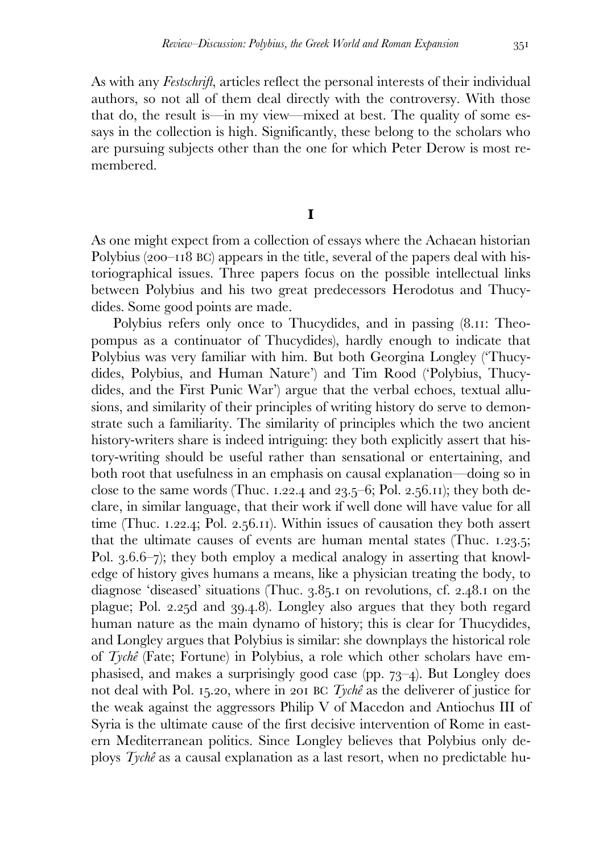As with any *Festschrift*, articles reflect the personal interests of their individual authors, so not all of them deal directly with the controversy. With those that do, the result is—in my view—mixed at best. The quality of some essays in the collection is high. Significantly, these belong to the scholars who are pursuing subjects other than the one for which Peter Derow is most remembered.

## **I**

As one might expect from a collection of essays where the Achaean historian Polybius  $(200-118 \text{ BC})$  appears in the title, several of the papers deal with historiographical issues. Three papers focus on the possible intellectual links between Polybius and his two great predecessors Herodotus and Thucydides. Some good points are made.

Polybius refers only once to Thucydides, and in passing (8.11: Theopompus as a continuator of Thucydides), hardly enough to indicate that Polybius was very familiar with him. But both Georgina Longley ('Thucydides, Polybius, and Human Nature') and Tim Rood ('Polybius, Thucydides, and the First Punic War') argue that the verbal echoes, textual allusions, and similarity of their principles of writing history do serve to demonstrate such a familiarity. The similarity of principles which the two ancient history-writers share is indeed intriguing: they both explicitly assert that history-writing should be useful rather than sensational or entertaining, and both root that usefulness in an emphasis on causal explanation—doing so in close to the same words (Thuc. 1.22.4 and 23.5–6; Pol. 2.56.11); they both declare, in similar language, that their work if well done will have value for all time (Thuc.  $1.22.4$ ; Pol.  $2.56.11$ ). Within issues of causation they both assert that the ultimate causes of events are human mental states (Thuc.  $1.23.5$ ; Pol.  $3.6.6-\gamma$ ; they both employ a medical analogy in asserting that knowledge of history gives humans a means, like a physician treating the body, to diagnose 'diseased' situations (Thuc.  $3.85$ . on revolutions, cf.  $2.48$ . on the plague; Pol. 2.25d and 39.4.8). Longley also argues that they both regard human nature as the main dynamo of history; this is clear for Thucydides, and Longley argues that Polybius is similar: she downplays the historical role of *Tychê* (Fate; Fortune) in Polybius, a role which other scholars have emphasised, and makes a surprisingly good case (pp.  $73-4$ ). But Longley does not deal with Pol. 15.20, where in 201 BC *Tychê* as the deliverer of justice for the weak against the aggressors Philip V of Macedon and Antiochus III of Syria is the ultimate cause of the first decisive intervention of Rome in eastern Mediterranean politics. Since Longley believes that Polybius only deploys *Tychê* as a causal explanation as a last resort, when no predictable hu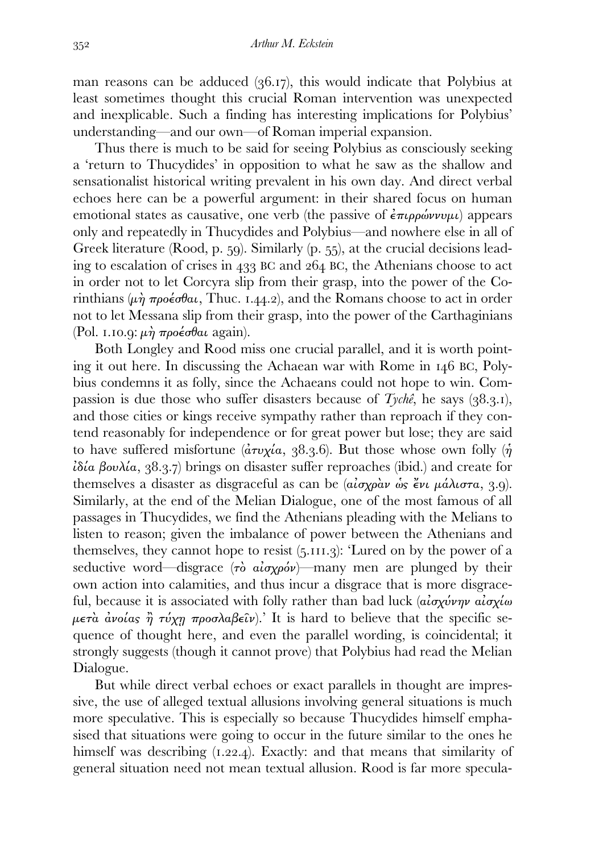man reasons can be adduced  $(36.17)$ , this would indicate that Polybius at least sometimes thought this crucial Roman intervention was unexpected and inexplicable. Such a finding has interesting implications for Polybius' understanding—and our own—of Roman imperial expansion.

 Thus there is much to be said for seeing Polybius as consciously seeking a 'return to Thucydides' in opposition to what he saw as the shallow and sensationalist historical writing prevalent in his own day. And direct verbal echoes here can be a powerful argument: in their shared focus on human emotional states as causative, one verb (the passive of  $\epsilon \pi \mu \rho \omega \nu \nu \mu \nu$ ) appears only and repeatedly in Thucydides and Polybius—and nowhere else in all of Greek literature (Rood, p.  $59$ ). Similarly (p.  $55$ ), at the crucial decisions leading to escalation of crises in  $433$  BC and  $264$  BC, the Athenians choose to act in order not to let Corcyra slip from their grasp, into the power of the Corinthians  $(\mu \dot{\eta} \pi \rho o \dot{\epsilon} \sigma \theta a \dot{\theta}$ , Thuc. 1.44.2), and the Romans choose to act in order not to let Messana slip from their grasp, into the power of the Carthaginians (Pol. 1.10.9:  $\mu \dot{\eta}$  προέσθαι again).

 Both Longley and Rood miss one crucial parallel, and it is worth pointing it out here. In discussing the Achaean war with Rome in  $146$  BC, Polybius condemns it as folly, since the Achaeans could not hope to win. Compassion is due those who suffer disasters because of  $Tych\hat{e}$ , he says (38.3.1), and those cities or kings receive sympathy rather than reproach if they contend reasonably for independence or for great power but lose; they are said to have suffered misfortune ( $\frac{\partial \tau v}{\partial \alpha}$ , 38.3.6). But those whose own folly ( $\eta$ )  $\lambda \delta \alpha$  βουλία, 38.3.7) brings on disaster suffer reproaches (ibid.) and create for themselves a disaster as disgraceful as can be ( $a_i \sigma x_i \rho \dot{a} \nu \dot{\rho} \dot{\rho} \dot{\epsilon} \nu \nu \mu \dot{\alpha} \lambda_i \sigma \tau \alpha$ , 3.9). Similarly, at the end of the Melian Dialogue, one of the most famous of all passages in Thucydides, we find the Athenians pleading with the Melians to listen to reason; given the imbalance of power between the Athenians and themselves, they cannot hope to resist  $(5.111.3)$ : 'Lured on by the power of a seductive word—disgrace  $(\tau \delta \alpha \alpha \gamma \gamma \delta \nu)$ —many men are plunged by their own action into calamities, and thus incur a disgrace that is more disgraceful, because it is associated with folly rather than bad luck  $\langle \hat{a} \cdot \hat{a} \cdot \hat{b} \cdot \hat{c} \cdot \hat{c} \cdot \hat{c} \cdot \hat{c} \cdot \hat{c} \cdot \hat{c} \cdot \hat{c} \cdot \hat{c} \cdot \hat{c} \cdot \hat{c} \cdot \hat{c} \cdot \hat{c} \cdot \hat{c} \cdot \hat{c} \cdot \hat{c} \cdot \hat{c} \cdot \hat{c} \cdot \hat{c} \cdot \hat{c} \cdot \hat$  $\mu \epsilon \tau \dot{\alpha}$  *ανοίας η τύχη προσλαβεῖν*).' It is hard to believe that the specific sequence of thought here, and even the parallel wording, is coincidental; it strongly suggests (though it cannot prove) that Polybius had read the Melian Dialogue.

 But while direct verbal echoes or exact parallels in thought are impressive, the use of alleged textual allusions involving general situations is much more speculative. This is especially so because Thucydides himself emphasised that situations were going to occur in the future similar to the ones he himself was describing  $(1.22.4)$ . Exactly: and that means that similarity of general situation need not mean textual allusion. Rood is far more specula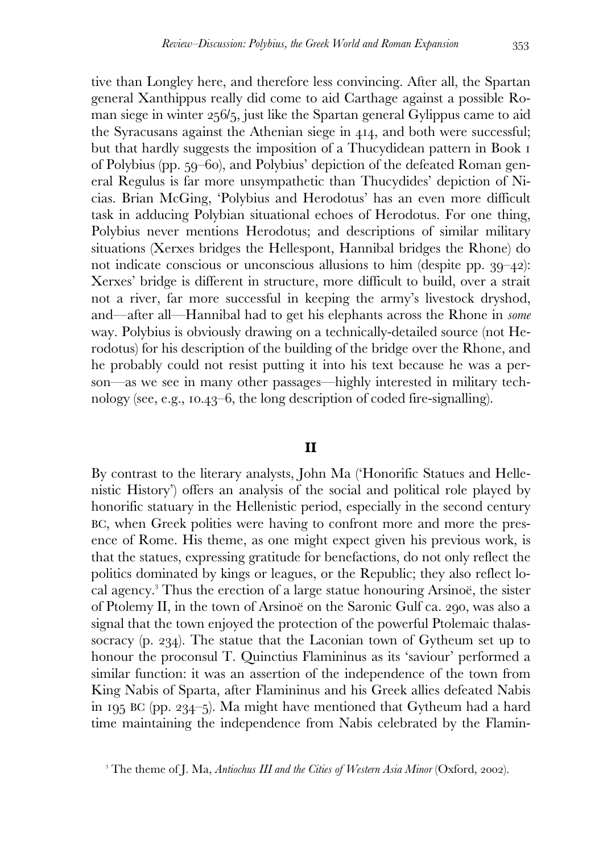tive than Longley here, and therefore less convincing. After all, the Spartan general Xanthippus really did come to aid Carthage against a possible Roman siege in winter  $256/5$ , just like the Spartan general Gylippus came to aid the Syracusans against the Athenian siege in 414, and both were successful; but that hardly suggests the imposition of a Thucydidean pattern in Book of Polybius (pp. 59–60), and Polybius' depiction of the defeated Roman general Regulus is far more unsympathetic than Thucydides' depiction of Nicias. Brian McGing, 'Polybius and Herodotus' has an even more difficult task in adducing Polybian situational echoes of Herodotus. For one thing, Polybius never mentions Herodotus; and descriptions of similar military situations (Xerxes bridges the Hellespont, Hannibal bridges the Rhone) do not indicate conscious or unconscious allusions to him (despite pp.  $39-42$ ): Xerxes' bridge is different in structure, more difficult to build, over a strait not a river, far more successful in keeping the army's livestock dryshod, and—after all—Hannibal had to get his elephants across the Rhone in *some* way. Polybius is obviously drawing on a technically-detailed source (not Herodotus) for his description of the building of the bridge over the Rhone, and he probably could not resist putting it into his text because he was a person—as we see in many other passages—highly interested in military technology (see, e.g.,  $10.43-6$ , the long description of coded fire-signalling).

### **II**

By contrast to the literary analysts, John Ma ('Honorific Statues and Hellenistic History') offers an analysis of the social and political role played by honorific statuary in the Hellenistic period, especially in the second century BC, when Greek polities were having to confront more and more the presence of Rome. His theme, as one might expect given his previous work, is that the statues, expressing gratitude for benefactions, do not only reflect the politics dominated by kings or leagues, or the Republic; they also reflect local agency. Thus the erection of a large statue honouring Arsinoë, the sister of Ptolemy II, in the town of Arsinoë on the Saronic Gulf ca. 290, was also a signal that the town enjoyed the protection of the powerful Ptolemaic thalassocracy (p. 234). The statue that the Laconian town of Gytheum set up to honour the proconsul T. Quinctius Flamininus as its 'saviour' performed a similar function: it was an assertion of the independence of the town from King Nabis of Sparta, after Flamininus and his Greek allies defeated Nabis in 195 BC (pp. 234–5). Ma might have mentioned that Gytheum had a hard time maintaining the independence from Nabis celebrated by the Flamin-

<sup>&</sup>lt;sup>3</sup> The theme of J. Ma, *Antiochus III and the Cities of Western Asia Minor* (Oxford, 2002).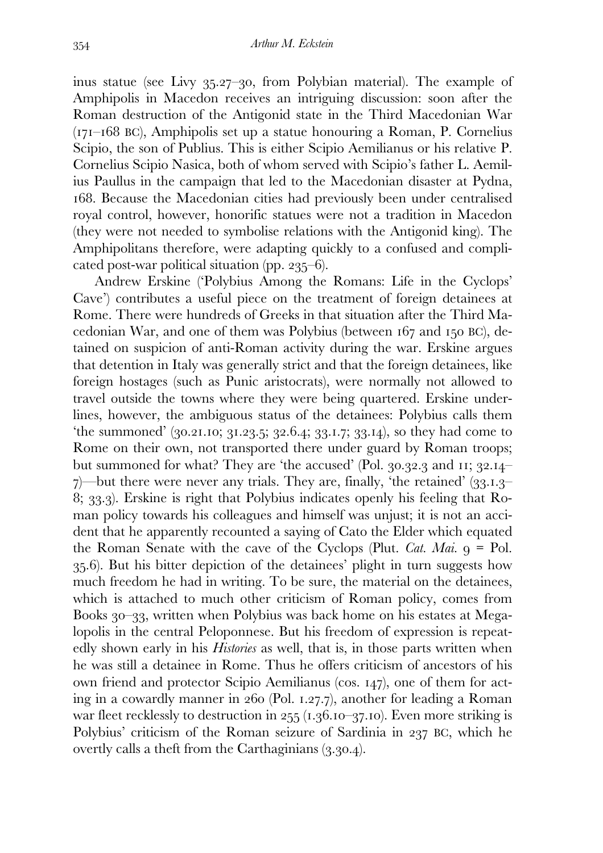inus statue (see Livy  $35.27 - 30$ , from Polybian material). The example of Amphipolis in Macedon receives an intriguing discussion: soon after the Roman destruction of the Antigonid state in the Third Macedonian War  $(T7I-I68 \text{ BC})$ , Amphipolis set up a statue honouring a Roman, P. Cornelius Scipio, the son of Publius. This is either Scipio Aemilianus or his relative P. Cornelius Scipio Nasica, both of whom served with Scipio's father L. Aemilius Paullus in the campaign that led to the Macedonian disaster at Pydna, . Because the Macedonian cities had previously been under centralised royal control, however, honorific statues were not a tradition in Macedon (they were not needed to symbolise relations with the Antigonid king). The Amphipolitans therefore, were adapting quickly to a confused and complicated post-war political situation (pp.  $235-6$ ).

 Andrew Erskine ('Polybius Among the Romans: Life in the Cyclops' Cave') contributes a useful piece on the treatment of foreign detainees at Rome. There were hundreds of Greeks in that situation after the Third Macedonian War, and one of them was Polybius (between  $167$  and  $150$  BC), detained on suspicion of anti-Roman activity during the war. Erskine argues that detention in Italy was generally strict and that the foreign detainees, like foreign hostages (such as Punic aristocrats), were normally not allowed to travel outside the towns where they were being quartered. Erskine underlines, however, the ambiguous status of the detainees: Polybius calls them 'the summoned'  $(30.21.10; 31.23.5; 32.6.4; 33.1.7; 33.14)$ , so they had come to Rome on their own, not transported there under guard by Roman troops; but summoned for what? They are 'the accused' (Pol.  $30.32.3$  and  $11$ ;  $32.14 \gamma$ —but there were never any trials. They are, finally, 'the retained' (33.1.3–  $\langle 8, 33, 3 \rangle$ . Erskine is right that Polybius indicates openly his feeling that Roman policy towards his colleagues and himself was unjust; it is not an accident that he apparently recounted a saying of Cato the Elder which equated the Roman Senate with the cave of the Cyclops (Plut. *Cat. Mai.*  $q = Pol$ . .). But his bitter depiction of the detainees' plight in turn suggests how much freedom he had in writing. To be sure, the material on the detainees, which is attached to much other criticism of Roman policy, comes from Books 30–33, written when Polybius was back home on his estates at Megalopolis in the central Peloponnese. But his freedom of expression is repeatedly shown early in his *Histories* as well, that is, in those parts written when he was still a detainee in Rome. Thus he offers criticism of ancestors of his own friend and protector Scipio Aemilianus (cos. 147), one of them for acting in a cowardly manner in  $260$  (Pol. 1.27.7), another for leading a Roman war fleet recklessly to destruction in  $255$  ( $1.36.10-37.10$ ). Even more striking is Polybius' criticism of the Roman seizure of Sardinia in 237 BC, which he overtly calls a theft from the Carthaginians  $(3.30.4)$ .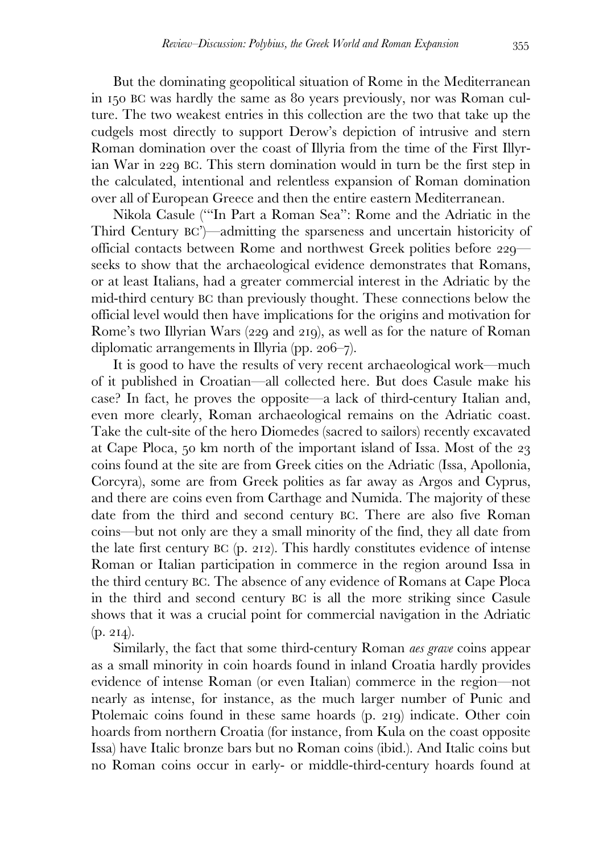But the dominating geopolitical situation of Rome in the Mediterranean in 150 BC was hardly the same as 80 years previously, nor was Roman culture. The two weakest entries in this collection are the two that take up the cudgels most directly to support Derow's depiction of intrusive and stern Roman domination over the coast of Illyria from the time of the First Illyrian War in 229 BC. This stern domination would in turn be the first step in the calculated, intentional and relentless expansion of Roman domination over all of European Greece and then the entire eastern Mediterranean.

 Nikola Casule ('"In Part a Roman Sea": Rome and the Adriatic in the Third Century BC')—admitting the sparseness and uncertain historicity of official contacts between Rome and northwest Greek polities before  $229$  seeks to show that the archaeological evidence demonstrates that Romans, or at least Italians, had a greater commercial interest in the Adriatic by the mid-third century BC than previously thought. These connections below the official level would then have implications for the origins and motivation for Rome's two Illyrian Wars (229 and 219), as well as for the nature of Roman diplomatic arrangements in Illyria (pp.  $206 - 7$ ).

 It is good to have the results of very recent archaeological work—much of it published in Croatian—all collected here. But does Casule make his case? In fact, he proves the opposite—a lack of third-century Italian and, even more clearly, Roman archaeological remains on the Adriatic coast. Take the cult-site of the hero Diomedes (sacred to sailors) recently excavated at Cape Ploca,  $50 \text{ km}$  north of the important island of Issa. Most of the  $23$ coins found at the site are from Greek cities on the Adriatic (Issa, Apollonia, Corcyra), some are from Greek polities as far away as Argos and Cyprus, and there are coins even from Carthage and Numida. The majority of these date from the third and second century BC. There are also five Roman coins—but not only are they a small minority of the find, they all date from the late first century  $BC$  (p. 212). This hardly constitutes evidence of intense Roman or Italian participation in commerce in the region around Issa in the third century BC. The absence of any evidence of Romans at Cape Ploca in the third and second century BC is all the more striking since Casule shows that it was a crucial point for commercial navigation in the Adriatic  $(p. 214).$ 

 Similarly, the fact that some third-century Roman *aes grave* coins appear as a small minority in coin hoards found in inland Croatia hardly provides evidence of intense Roman (or even Italian) commerce in the region—not nearly as intense, for instance, as the much larger number of Punic and Ptolemaic coins found in these same hoards (p. 219) indicate. Other coin hoards from northern Croatia (for instance, from Kula on the coast opposite Issa) have Italic bronze bars but no Roman coins (ibid.). And Italic coins but no Roman coins occur in early- or middle-third-century hoards found at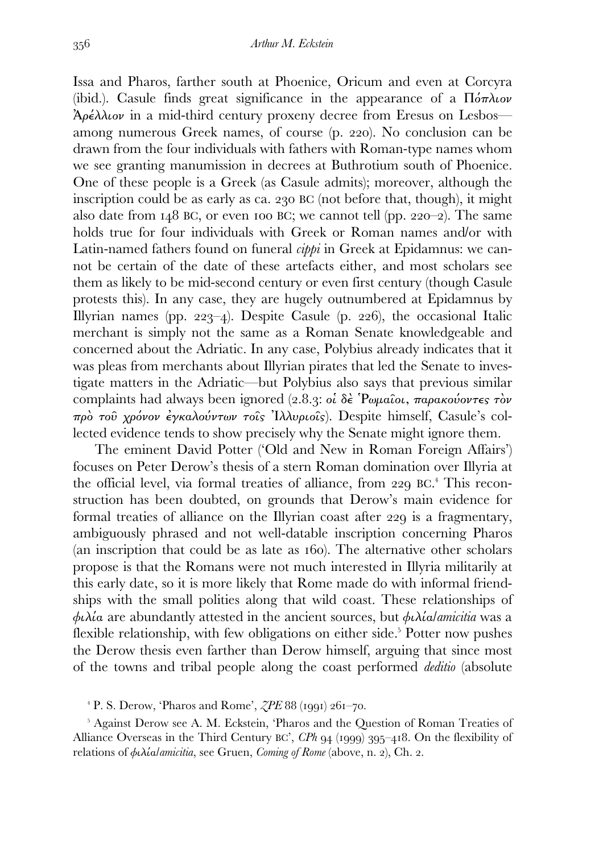Issa and Pharos, farther south at Phoenice, Oricum and even at Corcyra (ibid.). Casule finds great significance in the appearance of a  $\Pi'_{\alpha\alpha\alpha\beta}$ Ἀρέλλιον in a mid-third century proxeny decree from Eresus on Lesbos among numerous Greek names, of course (p. 220). No conclusion can be drawn from the four individuals with fathers with Roman-type names whom we see granting manumission in decrees at Buthrotium south of Phoenice. One of these people is a Greek (as Casule admits); moreover, although the inscription could be as early as ca.  $230$  BC (not before that, though), it might also date from  $148$  BC, or even 100 BC; we cannot tell (pp.  $220-2$ ). The same holds true for four individuals with Greek or Roman names and/or with Latin-named fathers found on funeral *cippi* in Greek at Epidamnus: we cannot be certain of the date of these artefacts either, and most scholars see them as likely to be mid-second century or even first century (though Casule protests this). In any case, they are hugely outnumbered at Epidamnus by Illyrian names (pp.  $223-4$ ). Despite Casule (p. 226), the occasional Italic merchant is simply not the same as a Roman Senate knowledgeable and concerned about the Adriatic. In any case, Polybius already indicates that it was pleas from merchants about Illyrian pirates that led the Senate to investigate matters in the Adriatic—but Polybius also says that previous similar complaints had always been ignored (2.8.3: οἱ δὲ Ῥωμαῖοι, παρακούοντες τὸν πρὸ τοῦ χρόνον ἐγκαλούντων τοῖς Ἰλλυριοῖς). Despite himself, Casule's collected evidence tends to show precisely why the Senate might ignore them.

 The eminent David Potter ('Old and New in Roman Foreign Affairs') focuses on Peter Derow's thesis of a stern Roman domination over Illyria at the official level, via formal treaties of alliance, from 229 BC.<sup>4</sup> This reconstruction has been doubted, on grounds that Derow's main evidence for formal treaties of alliance on the Illyrian coast after 229 is a fragmentary, ambiguously phrased and not well-datable inscription concerning Pharos (an inscription that could be as late as  $160$ ). The alternative other scholars propose is that the Romans were not much interested in Illyria militarily at this early date, so it is more likely that Rome made do with informal friendships with the small polities along that wild coast. These relationships of φιλία are abundantly attested in the ancient sources, but φιλία/*amicitia* was a flexible relationship, with few obligations on either side.<sup>5</sup> Potter now pushes the Derow thesis even farther than Derow himself, arguing that since most of the towns and tribal people along the coast performed *deditio* (absolute

 $P$ . S. Derow, 'Pharos and Rome',  $ZPE$  88 (1991) 261–70.

<sup>5</sup> Against Derow see A. M. Eckstein, 'Pharos and the Question of Roman Treaties of Alliance Overseas in the Third Century BC',  $\mathbb{CP}h$  94 (1999) 395–418. On the flexibility of relations of *φιλία/amicitia*, see Gruen, *Coming of Rome* (above, n. 2), Ch. 2.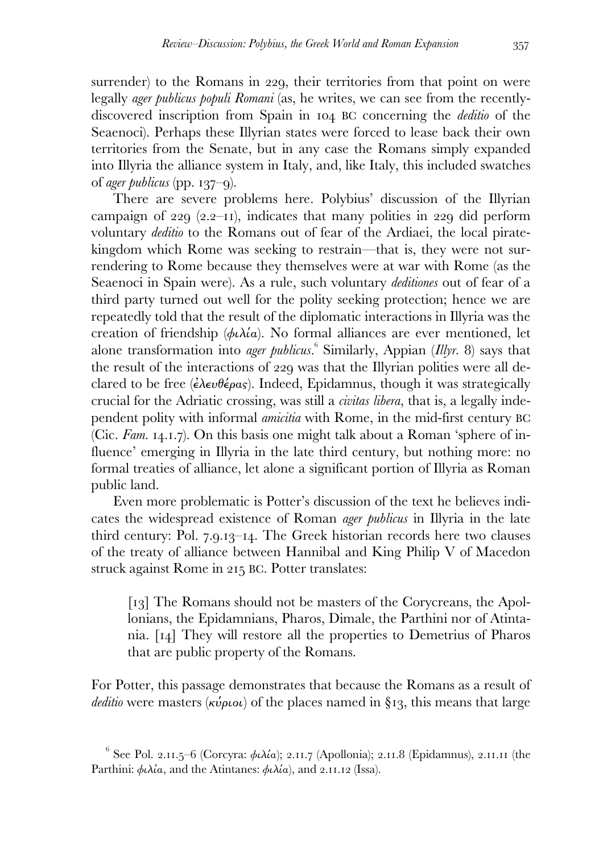surrender) to the Romans in 229, their territories from that point on were legally *ager publicus populi Romani* (as, he writes, we can see from the recentlydiscovered inscription from Spain in 104 BC concerning the *deditio* of the Seaenoci). Perhaps these Illyrian states were forced to lease back their own territories from the Senate, but in any case the Romans simply expanded into Illyria the alliance system in Italy, and, like Italy, this included swatches of *ager publicus* (pp.  $137-9$ ).

 There are severe problems here. Polybius' discussion of the Illyrian campaign of  $(2.2 - 1)$ , indicates that many polities in  $(2.2 - 1)$  perform voluntary *deditio* to the Romans out of fear of the Ardiaei, the local piratekingdom which Rome was seeking to restrain—that is, they were not surrendering to Rome because they themselves were at war with Rome (as the Seaenoci in Spain were). As a rule, such voluntary *deditiones* out of fear of a third party turned out well for the polity seeking protection; hence we are repeatedly told that the result of the diplomatic interactions in Illyria was the creation of friendship ( $\phi \iota \lambda \iota a$ ). No formal alliances are ever mentioned, let alone transformation into *ager publicus*.<sup>6</sup> Similarly, Appian (*Illyr.* 8) says that the result of the interactions of 229 was that the Illyrian polities were all declared to be free ( $\epsilon \lambda \epsilon \nu \theta \epsilon \rho \alpha s$ ). Indeed, Epidamnus, though it was strategically crucial for the Adriatic crossing, was still a *civitas libera*, that is, a legally independent polity with informal *amicitia* with Rome, in the mid-first century BC (Cic. *Fam.* 14.1.7). On this basis one might talk about a Roman 'sphere of influence' emerging in Illyria in the late third century, but nothing more: no formal treaties of alliance, let alone a significant portion of Illyria as Roman public land.

 Even more problematic is Potter's discussion of the text he believes indicates the widespread existence of Roman *ager publicus* in Illyria in the late third century: Pol. 7.9.13-14. The Greek historian records here two clauses of the treaty of alliance between Hannibal and King Philip V of Macedon struck against Rome in 215 BC. Potter translates:

[13] The Romans should not be masters of the Corycreans, the Apollonians, the Epidamnians, Pharos, Dimale, the Parthini nor of Atintania.  $\lceil 14 \rceil$  They will restore all the properties to Demetrius of Pharos that are public property of the Romans.

For Potter, this passage demonstrates that because the Romans as a result of *deditio* were masters (κύριοι) of the places named in §13, this means that large

 $^6$  See Pol. 2.11.5–6 (Corcyra: φιλία); 2.11.7 (Apollonia); 2.11.8 (Epidamnus), 2.11.11 (the Parthini:  $\phi \lambda \iota \alpha$ , and the Atintanes:  $\phi \iota \lambda \iota \alpha$ ), and 2.11.12 (Issa).